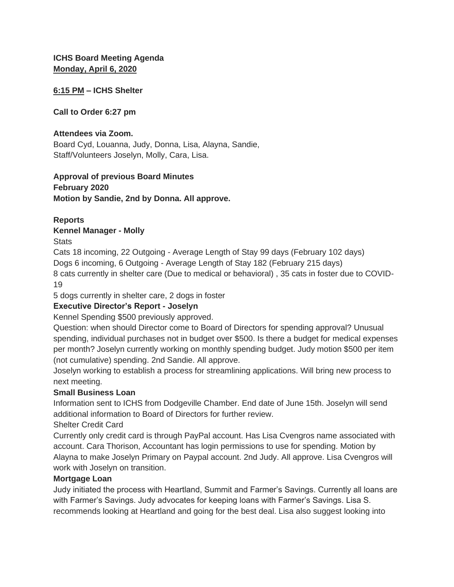**ICHS Board Meeting Agenda Monday, April 6, 2020**

#### **6:15 PM – ICHS Shelter**

#### **Call to Order 6:27 pm**

#### **Attendees via Zoom.**

Board Cyd, Louanna, Judy, Donna, Lisa, Alayna, Sandie, Staff/Volunteers Joselyn, Molly, Cara, Lisa.

# **Approval of previous Board Minutes**

**February 2020 Motion by Sandie, 2nd by Donna. All approve.** 

## **Reports**

**Kennel Manager - Molly**

**Stats** 

Cats 18 incoming, 22 Outgoing - Average Length of Stay 99 days (February 102 days) Dogs 6 incoming, 6 Outgoing - Average Length of Stay 182 (February 215 days) 8 cats currently in shelter care (Due to medical or behavioral) , 35 cats in foster due to COVID-19

5 dogs currently in shelter care, 2 dogs in foster

# **Executive Director's Report - Joselyn**

Kennel Spending \$500 previously approved.

Question: when should Director come to Board of Directors for spending approval? Unusual spending, individual purchases not in budget over \$500. Is there a budget for medical expenses per month? Joselyn currently working on monthly spending budget. Judy motion \$500 per item (not cumulative) spending. 2nd Sandie. All approve.

Joselyn working to establish a process for streamlining applications. Will bring new process to next meeting.

#### **Small Business Loan**

Information sent to ICHS from Dodgeville Chamber. End date of June 15th. Joselyn will send additional information to Board of Directors for further review. Shelter Credit Card

Currently only credit card is through PayPal account. Has Lisa Cvengros name associated with account. Cara Thorison, Accountant has login permissions to use for spending. Motion by Alayna to make Joselyn Primary on Paypal account. 2nd Judy. All approve. Lisa Cvengros will work with Joselyn on transition.

#### **Mortgage Loan**

Judy initiated the process with Heartland, Summit and Farmer's Savings. Currently all loans are with Farmer's Savings. Judy advocates for keeping loans with Farmer's Savings. Lisa S. recommends looking at Heartland and going for the best deal. Lisa also suggest looking into